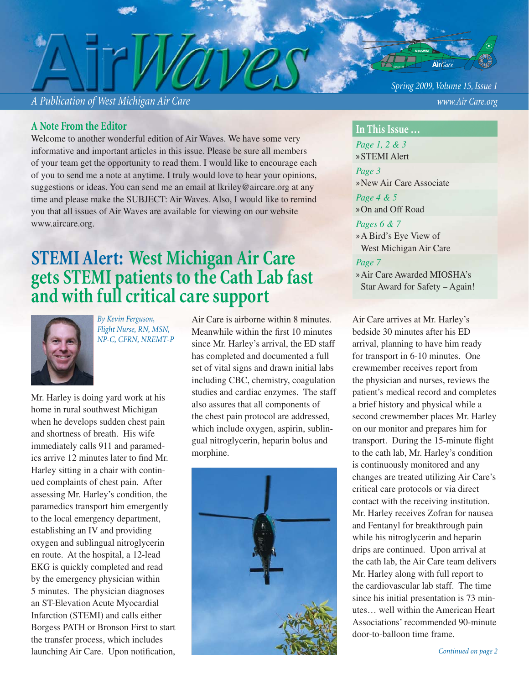*A Publication of West Michigan Air Care www.Air Care.org*

#### **A Note From the Editor**

Welcome to another wonderful edition of Air Waves. We have some very informative and important articles in this issue. Please be sure all members of your team get the opportunity to read them. I would like to encourage each of you to send me a note at anytime. I truly would love to hear your opinions, suggestions or ideas. You can send me an email at lkriley@aircare.org at any time and please make the SUBJECT: Air Waves. Also, I would like to remind you that all issues of Air Waves are available for viewing on our website www.aircare.org.

# **STEMI Alert: West Michigan Air Care gets STEMI patients to the Cath Lab fast and with full critical care support**



*By Kevin Ferguson, Flight Nurse, RN, MSN, NP-C, CFRN, NREMT-P*

Mr. Harley is doing yard work at his home in rural southwest Michigan when he develops sudden chest pain and shortness of breath. His wife immediately calls 911 and paramedics arrive 12 minutes later to find Mr. Harley sitting in a chair with continued complaints of chest pain. After assessing Mr. Harley's condition, the paramedics transport him emergently to the local emergency department, establishing an IV and providing oxygen and sublingual nitroglycerin en route. At the hospital, a 12-lead EKG is quickly completed and read by the emergency physician within 5 minutes. The physician diagnoses an ST-Elevation Acute Myocardial Infarction (STEMI) and calls either Borgess PATH or Bronson First to start the transfer process, which includes launching Air Care. Upon notification,

Air Care is airborne within 8 minutes. Meanwhile within the first 10 minutes since Mr. Harley's arrival, the ED staff has completed and documented a full set of vital signs and drawn initial labs including CBC, chemistry, coagulation studies and cardiac enzymes. The staff also assures that all components of the chest pain protocol are addressed, which include oxygen, aspirin, sublingual nitroglycerin, heparin bolus and morphine.



*Spring 2009, Volume 15, Issue 1*

#### **In This Issue …**

*Page 1, 2 & 3* »STEMI Alert *Page 3* »New Air Care Associate *Page 4 & 5*  »On and Off Road

#### *Pages 6 & 7*

A Bird's Eye View of » West Michigan Air Care

#### *Page 7*

Air Care Awarded MIOSHA's » Star Award for Safety – Again!

Air Care arrives at Mr. Harley's bedside 30 minutes after his ED arrival, planning to have him ready for transport in 6-10 minutes. One crewmember receives report from the physician and nurses, reviews the patient's medical record and completes a brief history and physical while a second crewmember places Mr. Harley on our monitor and prepares him for transport. During the 15-minute flight to the cath lab, Mr. Harley's condition is continuously monitored and any changes are treated utilizing Air Care's critical care protocols or via direct contact with the receiving institution. Mr. Harley receives Zofran for nausea and Fentanyl for breakthrough pain while his nitroglycerin and heparin drips are continued. Upon arrival at the cath lab, the Air Care team delivers Mr. Harley along with full report to the cardiovascular lab staff. The time since his initial presentation is 73 minutes… well within the American Heart Associations' recommended 90-minute door-to-balloon time frame.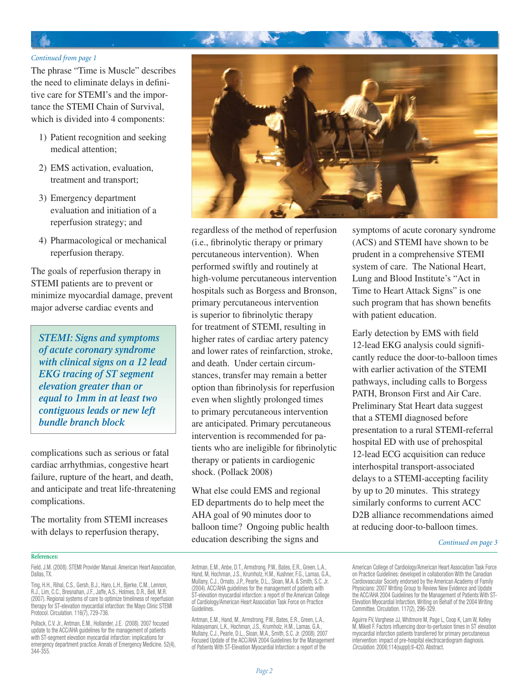#### Ь

#### *Continued from page 1*

The phrase "Time is Muscle" describes the need to eliminate delays in definitive care for STEMI's and the importance the STEMI Chain of Survival, which is divided into 4 components:

- 1) Patient recognition and seeking medical attention;
- EMS activation, evaluation, 2) treatment and transport;
- 3) Emergency department evaluation and initiation of a reperfusion strategy; and
- Pharmacological or mechanical 4) reperfusion therapy.

The goals of reperfusion therapy in STEMI patients are to prevent or minimize myocardial damage, prevent major adverse cardiac events and

*STEMI: Signs and symptoms of acute coronary syndrome with clinical signs on a 12 lead EKG tracing of ST segment elevation greater than or equal to 1mm in at least two contiguous leads or new left bundle branch block*

complications such as serious or fatal cardiac arrhythmias, congestive heart failure, rupture of the heart, and death, and anticipate and treat life-threatening complications.

The mortality from STEMI increases with delays to reperfusion therapy,

#### **References:**

Field, J.M. (2008). STEMI Provider Manual. American Heart Association, Dallas, TX.

Ting, H.H., Rihal, C.S., Gersh, B.J., Haro, L.H., Bjerke, C.M., Lennon, R.J., Lim, C.C., Bresnahan, J.F., Jaffe, A.S., Holmes, D.R., Bell, M.R. (2007). Regional systems of care to optimize timeliness of reperfusion therapy for ST-elevation myocardial infarction: the Mayo Clinic STEMI Protocol. Circulation. 116(7), 729-736.

Pollack, C.V. Jr., Antman, E.M., Hollander, J.E. (2008). 2007 focused update to the ACC/AHA guidelines for the management of patients with ST-segment elevation myocardial infarction: implications for emergency department practice. Annals of Emergency Medicine. 52(4), 344-355.

regardless of the method of reperfusion (i.e., fibrinolytic therapy or primary percutaneous intervention). When performed swiftly and routinely at high-volume percutaneous intervention hospitals such as Borgess and Bronson, primary percutaneous intervention is superior to fibrinolytic therapy for treatment of STEMI, resulting in higher rates of cardiac artery patency and lower rates of reinfarction, stroke, and death. Under certain circumstances, transfer may remain a better option than fibrinolysis for reperfusion even when slightly prolonged times to primary percutaneous intervention are anticipated. Primary percutaneous intervention is recommended for patients who are ineligible for fibrinolytic therapy or patients in cardiogenic shock. (Pollack 2008)

What else could EMS and regional ED departments do to help meet the AHA goal of 90 minutes door to balloon time? Ongoing public health education describing the signs and

Antman, E.M., Anbe, D.T., Armstrong, P.W., Bates, E.R., Green, L.A., Hand, M, Hochman, J.S., Krumholz, H.M., Kushner, F.G., Lamas, G.A., Mullany, C.J., Ornato, J.P., Pearle, D.L., Sloan, M.A. & Smith, S.C. Jr. (2004). ACC/AHA guidelines for the management of patients with ST-elevation myocardial infarction: a report of the American College of Cardiology/American Heart Association Task Force on Practice Guidelines.

Antman, E.M., Hand, M., Armstrong, P.W., Bates, E.R., Green, L.A., Halasyamani, L.K., Hochman, J.S., Krumholz, H.M., Lamas, G.A., Mullany, C.J., Pearle, D.L., Sloan, M.A., Smith, S.C. Jr. (2008). 2007 Focused Update of the ACC/AHA 2004 Guidelines for the Management of Patients With ST-Elevation Myocardial Infarction: a report of the

symptoms of acute coronary syndrome (ACS) and STEMI have shown to be prudent in a comprehensive STEMI system of care. The National Heart, Lung and Blood Institute's "Act in Time to Heart Attack Signs" is one such program that has shown benefits with patient education.

Early detection by EMS with field 12-lead EKG analysis could significantly reduce the door-to-balloon times with earlier activation of the STEMI pathways, including calls to Borgess PATH, Bronson First and Air Care. Preliminary Stat Heart data suggest that a STEMI diagnosed before presentation to a rural STEMI-referral hospital ED with use of prehospital 12-lead ECG acquisition can reduce interhospital transport-associated delays to a STEMI-accepting facility by up to 20 minutes. This strategy similarly conforms to current ACC D2B alliance recommendations aimed at reducing door-to-balloon times.

#### *Continued on page 3*

American College of Cardiology/American Heart Association Task Force on Practice Guidelines: developed in collaboration With the Canadian Cardiovascular Society endorsed by the American Academy of Family Physicians: 2007 Writing Group to Review New Evidence and Update the ACC/AHA 2004 Guidelines for the Management of Patients With ST-Elevation Myocardial Infarction, Writing on Behalf of the 2004 Writing Committee. Circulation. 117(2), 296-329.

Aguirre FV, Varghese JJ, Whitmore M, Page L, Coop K, Lam W, Kelley M, Mikell F. Factors influencing door-to-perfusion times in ST elevation myocardial infarction patients transferred for primary percutaneous intervention: impact of pre-hospital electrocardiogram diagnosis. *Circulation*. 2006;114(suppl):II-420. Abstract.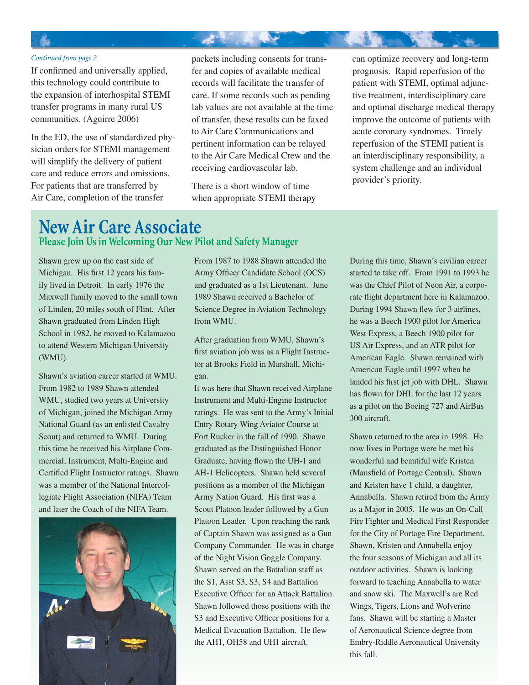#### *Continued from page 2*

If confirmed and universally applied, this technology could contribute to the expansion of interhospital STEMI transfer programs in many rural US communities. (Aguirre 2006)

In the ED, the use of standardized physician orders for STEMI management will simplify the delivery of patient care and reduce errors and omissions. For patients that are transferred by Air Care, completion of the transfer

packets including consents for transfer and copies of available medical records will facilitate the transfer of care. If some records such as pending lab values are not available at the time of transfer, these results can be faxed to Air Care Communications and pertinent information can be relayed to the Air Care Medical Crew and the receiving cardiovascular lab.

大家 人名英米

There is a short window of time when appropriate STEMI therapy can optimize recovery and long-term prognosis. Rapid reperfusion of the patient with STEMI, optimal adjunctive treatment, interdisciplinary care and optimal discharge medical therapy improve the outcome of patients with acute coronary syndromes. Timely reperfusion of the STEMI patient is an interdisciplinary responsibility, a system challenge and an individual provider's priority.

### **New Air Care Associate Please Join Us in Welcoming Our New Pilot and Safety Manager**

Shawn grew up on the east side of Michigan. His first 12 years his family lived in Detroit. In early 1976 the Maxwell family moved to the small town of Linden, 20 miles south of Flint. After Shawn graduated from Linden High School in 1982, he moved to Kalamazoo to attend Western Michigan University (WMU).

Shawn's aviation career started at WMU. From 1982 to 1989 Shawn attended WMU, studied two years at University of Michigan, joined the Michigan Army National Guard (as an enlisted Cavalry Scout) and returned to WMU. During this time he received his Airplane Commercial, Instrument, Multi-Engine and Certified Flight Instructor ratings. Shawn was a member of the National Intercollegiate Flight Association (NIFA) Team and later the Coach of the NIFA Team.



From 1987 to 1988 Shawn attended the Army Officer Candidate School (OCS) and graduated as a 1st Lieutenant. June 1989 Shawn received a Bachelor of Science Degree in Aviation Technology from WMU.

After graduation from WMU, Shawn's first aviation job was as a Flight Instructor at Brooks Field in Marshall, Michigan.

It was here that Shawn received Airplane Instrument and Multi-Engine Instructor ratings. He was sent to the Army's Initial Entry Rotary Wing Aviator Course at Fort Rucker in the fall of 1990. Shawn graduated as the Distinguished Honor Graduate, having flown the UH-1 and AH-1 Helicopters. Shawn held several positions as a member of the Michigan Army Nation Guard. His first was a Scout Platoon leader followed by a Gun Platoon Leader. Upon reaching the rank of Captain Shawn was assigned as a Gun Company Commander. He was in charge of the Night Vision Goggle Company. Shawn served on the Battalion staff as the S1, Asst S3, S3, S4 and Battalion Executive Officer for an Attack Battalion. Shawn followed those positions with the S3 and Executive Officer positions for a Medical Evacuation Battalion. He flew the AH1, OH58 and UH1 aircraft.

During this time, Shawn's civilian career started to take off. From 1991 to 1993 he was the Chief Pilot of Neon Air, a corporate flight department here in Kalamazoo. During 1994 Shawn flew for 3 airlines, he was a Beech 1900 pilot for America West Express, a Beech 1900 pilot for US Air Express, and an ATR pilot for American Eagle. Shawn remained with American Eagle until 1997 when he landed his first jet job with DHL. Shawn has flown for DHL for the last 12 years as a pilot on the Boeing 727 and AirBus 300 aircraft.

Shawn returned to the area in 1998. He now lives in Portage were he met his wonderful and beautiful wife Kristen (Mansfield of Portage Central). Shawn and Kristen have 1 child, a daughter, Annabella. Shawn retired from the Army as a Major in 2005. He was an On-Call Fire Fighter and Medical First Responder for the City of Portage Fire Department. Shawn, Kristen and Annabella enjoy the four seasons of Michigan and all its outdoor activities. Shawn is looking forward to teaching Annabella to water and snow ski. The Maxwell's are Red Wings, Tigers, Lions and Wolverine fans. Shawn will be starting a Master of Aeronautical Science degree from Embry-Riddle Aeronautical University this fall.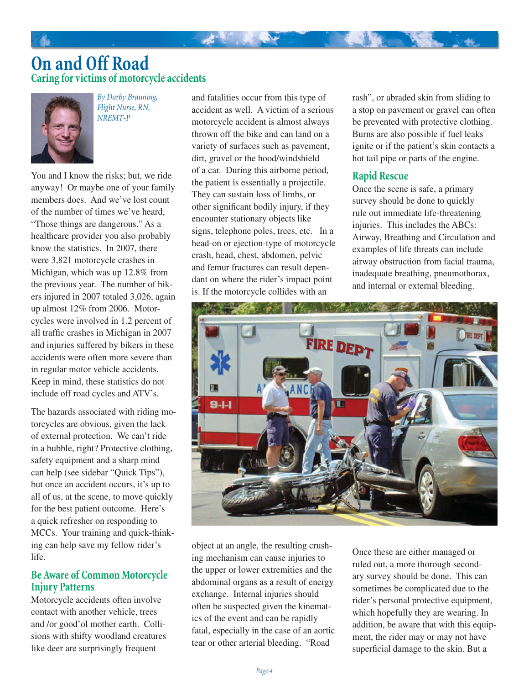### **On and Off Road Caring for victims of motorcycle accidents**



*By Darby Brauning, Flight Nurse, RN, NREMT-P*

You and I know the risks; but, we ride anyway! Or maybe one of your family members does. And we've lost count of the number of times we've heard, "Those things are dangerous." As a healthcare provider you also probably know the statistics. In 2007, there were 3,821 motorcycle crashes in Michigan, which was up 12.8% from the previous year. The number of bikers injured in 2007 totaled 3,026, again up almost 12% from 2006. Motorcycles were involved in 1.2 percent of all traffic crashes in Michigan in 2007 and injuries suffered by bikers in these accidents were often more severe than in regular motor vehicle accidents. Keep in mind, these statistics do not include off road cycles and ATV's.

The hazards associated with riding motorcycles are obvious, given the lack of external protection. We can't ride in a bubble, right? Protective clothing, safety equipment and a sharp mind can help (see sidebar "Quick Tips"), but once an accident occurs, it's up to all of us, at the scene, to move quickly for the best patient outcome. Here's a quick refresher on responding to MCCs. Your training and quick-thinking can help save my fellow rider's life.

#### **Be Aware of Common Motorcycle Injury Patterns**

Motorcycle accidents often involve contact with another vehicle, trees and /or good'ol mother earth. Collisions with shifty woodland creatures like deer are surprisingly frequent

and fatalities occur from this type of accident as well. A victim of a serious motorcycle accident is almost always thrown off the bike and can land on a variety of surfaces such as pavement, dirt, gravel or the hood/windshield of a car. During this airborne period, the patient is essentially a projectile. They can sustain loss of limbs, or other significant bodily injury, if they encounter stationary objects like signs, telephone poles, trees, etc. In a head-on or ejection-type of motorcycle crash, head, chest, abdomen, pelvic and femur fractures can result dependant on where the rider's impact point is. If the motorcycle collides with an

一起 不可见 电平

rash", or abraded skin from sliding to a stop on pavement or gravel can often be prevented with protective clothing. Burns are also possible if fuel leaks ignite or if the patient's skin contacts a hot tail pipe or parts of the engine.

#### **Rapid Rescue**

Once the scene is safe, a primary survey should be done to quickly rule out immediate life-threatening injuries. This includes the ABCs: Airway, Breathing and Circulation and examples of life threats can include airway obstruction from facial trauma, inadequate breathing, pneumothorax, and internal or external bleeding.



object at an angle, the resulting crushing mechanism can cause injuries to the upper or lower extremities and the abdominal organs as a result of energy exchange. Internal injuries should often be suspected given the kinematics of the event and can be rapidly fatal, especially in the case of an aortic tear or other arterial bleeding. "Road

Once these are either managed or ruled out, a more thorough secondary survey should be done. This can sometimes be complicated due to the rider's personal protective equipment, which hopefully they are wearing. In addition, be aware that with this equipment, the rider may or may not have superficial damage to the skin. But a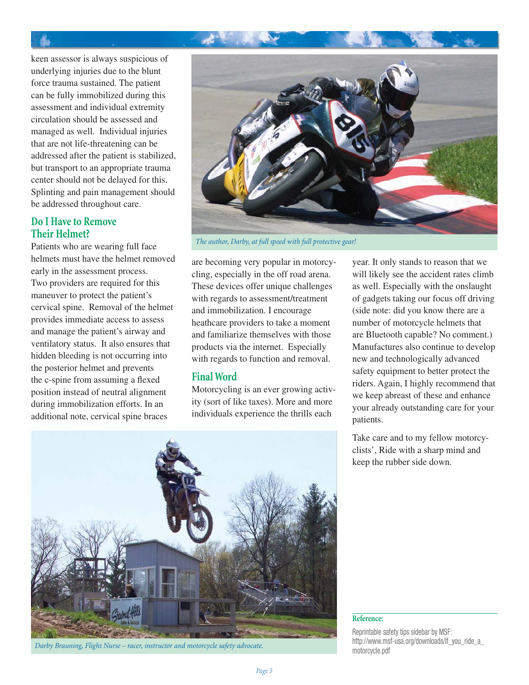

keen assessor is always suspicious of underlying injuries due to the blunt force trauma sustained. The patient can be fully immobilized during this assessment and individual extremity circulation should be assessed and managed as well. Individual injuries that are not life-threatening can be addressed after the patient is stabilized, but transport to an appropriate trauma center should not be delayed for this. Splinting and pain management should be addressed throughout care.

#### **Do I Have to Remove Their Helmet?**

Patients who are wearing full face helmets must have the helmet removed early in the assessment process. Two providers are required for this maneuver to protect the patient's cervical spine. Removal of the helmet provides immediate access to assess and manage the patient's airway and ventilatory status. It also ensures that hidden bleeding is not occurring into the posterior helmet and prevents the c-spine from assuming a flexed position instead of neutral alignment during immobilization efforts. In an additional note, cervical spine braces



*The author, Darby, at full speed with full protective gear!*

are becoming very popular in motorcycling, especially in the off road arena. These devices offer unique challenges with regards to assessment/treatment and immobilization. I encourage heathcare providers to take a moment and familiarize themselves with those products via the internet. Especially with regards to function and removal.

#### **Final Word**

Motorcycling is an ever growing activity (sort of like taxes). More and more individuals experience the thrills each

year. It only stands to reason that we will likely see the accident rates climb as well. Especially with the onslaught of gadgets taking our focus off driving (side note: did you know there are a number of motorcycle helmets that are Bluetooth capable? No comment.) Manufactures also continue to develop new and technologically advanced safety equipment to better protect the riders. Again, I highly recommend that we keep abreast of these and enhance your already outstanding care for your patients.

Take care and to my fellow motorcyclists', Ride with a sharp mind and keep the rubber side down.



Darby Brauning, Flight Nurse – racer, instructor and motorcycle safety advocate.<br>motorcycle.pdf

#### **Reference:**

Reprintable safety tips sidebar by MSF: http://www.msf-usa.org/downloads/lf\_you\_ride\_a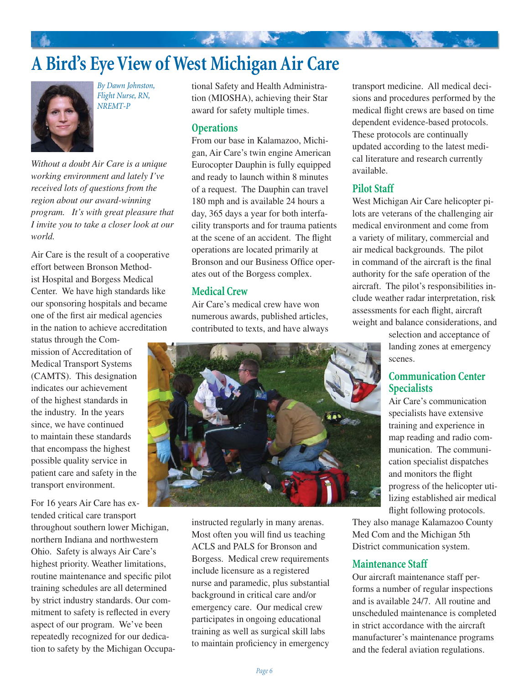# **A Bird's Eye View of West Michigan Air Care**



*By Dawn Johnston, Flight Nurse, RN, NREMT-P*

*Without a doubt Air Care is a unique working environment and lately I've received lots of questions from the region about our award-winning program. It's with great pleasure that I invite you to take a closer look at our world.* 

Air Care is the result of a cooperative effort between Bronson Methodist Hospital and Borgess Medical Center. We have high standards like our sponsoring hospitals and became one of the first air medical agencies in the nation to achieve accreditation

status through the Commission of Accreditation of Medical Transport Systems (CAMTS). This designation indicates our achievement of the highest standards in the industry. In the years since, we have continued to maintain these standards that encompass the highest possible quality service in patient care and safety in the transport environment.

For 16 years Air Care has extended critical care transport throughout southern lower Michigan, northern Indiana and northwestern Ohio. Safety is always Air Care's highest priority. Weather limitations, routine maintenance and specific pilot training schedules are all determined by strict industry standards. Our commitment to safety is reflected in every aspect of our program. We've been repeatedly recognized for our dedication to safety by the Michigan Occupational Safety and Health Administration (MIOSHA), achieving their Star award for safety multiple times.

#### **Operations**

From our base in Kalamazoo, Michigan, Air Care's twin engine American Eurocopter Dauphin is fully equipped and ready to launch within 8 minutes of a request. The Dauphin can travel 180 mph and is available 24 hours a day, 365 days a year for both interfacility transports and for trauma patients at the scene of an accident. The flight operations are located primarily at Bronson and our Business Office operates out of the Borgess complex.

#### **Medical Crew**

Air Care's medical crew have won numerous awards, published articles, contributed to texts, and have always



instructed regularly in many arenas. Most often you will find us teaching ACLS and PALS for Bronson and Borgess. Medical crew requirements include licensure as a registered nurse and paramedic, plus substantial background in critical care and/or emergency care. Our medical crew participates in ongoing educational training as well as surgical skill labs to maintain proficiency in emergency

transport medicine. All medical decisions and procedures performed by the medical flight crews are based on time dependent evidence-based protocols. These protocols are continually updated according to the latest medical literature and research currently available.

#### **Pilot Staff**

West Michigan Air Care helicopter pilots are veterans of the challenging air medical environment and come from a variety of military, commercial and air medical backgrounds. The pilot in command of the aircraft is the final authority for the safe operation of the aircraft. The pilot's responsibilities include weather radar interpretation, risk assessments for each flight, aircraft weight and balance considerations, and

> selection and acceptance of landing zones at emergency scenes.

#### **Communication Center Specialists**

Air Care's communication specialists have extensive training and experience in map reading and radio communication. The communication specialist dispatches and monitors the flight progress of the helicopter utilizing established air medical flight following protocols.

They also manage Kalamazoo County Med Com and the Michigan 5th District communication system.

#### **Maintenance Staff**

Our aircraft maintenance staff performs a number of regular inspections and is available 24/7. All routine and unscheduled maintenance is completed in strict accordance with the aircraft manufacturer's maintenance programs and the federal aviation regulations.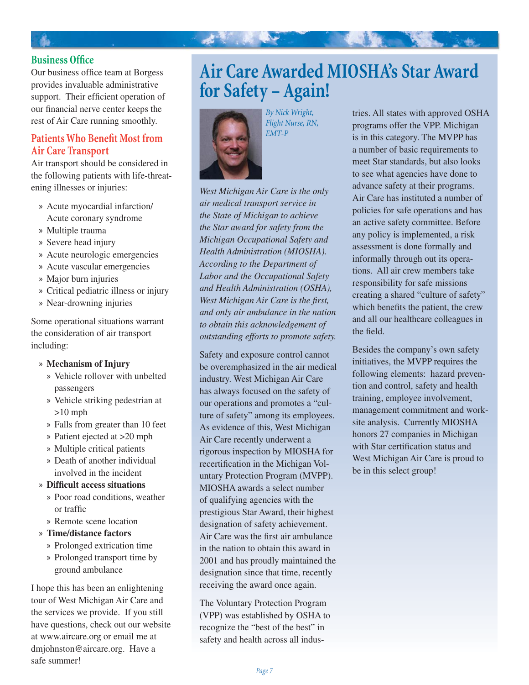

Our business office team at Borgess provides invaluable administrative support. Their efficient operation of our financial nerve center keeps the rest of Air Care running smoothly.

#### **Patients Who Benefit Most from Air Care Transport**

Air transport should be considered in the following patients with life-threatening illnesses or injuries:

- Acute myocardial infarction/ » Acute coronary syndrome
- Multiple trauma »
- Severe head injury »
- Acute neurologic emergencies »
- » Acute vascular emergencies
- Major burn injuries »
- Critical pediatric illness or injury »
- » Near-drowning injuries

Some operational situations warrant the consideration of air transport including:

#### **Mechanism of Injury** »

- Vehicle rollover with unbelted » passengers
- Vehicle striking pedestrian at » >10 mph
- Falls from greater than 10 feet »
- Patient ejected at >20 mph »
- Multiple critical patients »
- » Death of another individual involved in the incident

#### » Difficult access situations

- » Poor road conditions, weather or traffic
- » Remote scene location
- **Time/distance factors** »
	- » Prolonged extrication time
	- » Prolonged transport time by ground ambulance

I hope this has been an enlightening tour of West Michigan Air Care and the services we provide. If you still have questions, check out our website at www.aircare.org or email me at dmjohnston@aircare.org. Have a safe summer!

## **Air Care Awarded MIOSHA's Star Award for Safety – Again!**



*By Nick Wright, Flight Nurse, RN, EMT-P*

*West Michigan Air Care is the only air medical transport service in the State of Michigan to achieve the Star award for safety from the Michigan Occupational Safety and Health Administration (MIOSHA). According to the Department of Labor and the Occupational Safety and Health Administration (OSHA), West Michigan Air Care is the first, and only air ambulance in the nation to obtain this acknowledgement of outstanding efforts to promote safety.*

Safety and exposure control cannot be overemphasized in the air medical industry. West Michigan Air Care has always focused on the safety of our operations and promotes a "culture of safety" among its employees. As evidence of this, West Michigan Air Care recently underwent a rigorous inspection by MIOSHA for recertification in the Michigan Voluntary Protection Program (MVPP). MIOSHA awards a select number of qualifying agencies with the prestigious Star Award, their highest designation of safety achievement. Air Care was the first air ambulance in the nation to obtain this award in 2001 and has proudly maintained the designation since that time, recently receiving the award once again.

The Voluntary Protection Program (VPP) was established by OSHA to recognize the "best of the best" in safety and health across all industries. All states with approved OSHA programs offer the VPP. Michigan is in this category. The MVPP has a number of basic requirements to meet Star standards, but also looks to see what agencies have done to advance safety at their programs. Air Care has instituted a number of policies for safe operations and has an active safety committee. Before any policy is implemented, a risk assessment is done formally and informally through out its operations. All air crew members take responsibility for safe missions creating a shared "culture of safety" which benefits the patient, the crew and all our healthcare colleagues in the field.

Besides the company's own safety initiatives, the MVPP requires the following elements: hazard prevention and control, safety and health training, employee involvement, management commitment and worksite analysis. Currently MIOSHA honors 27 companies in Michigan with Star certification status and West Michigan Air Care is proud to be in this select group!